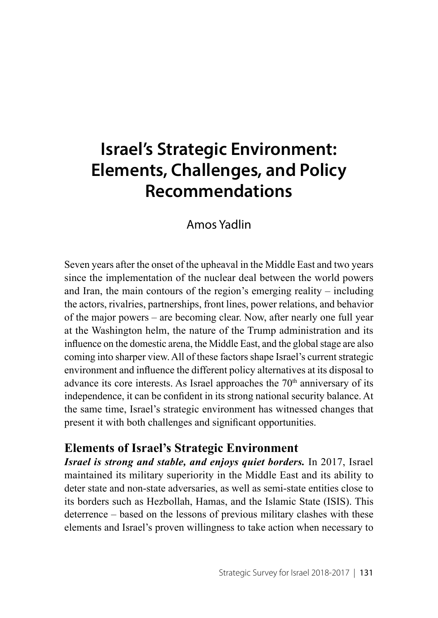## **Israel's Strategic Environment: Elements, Challenges, and Policy Recommendations**

## Amos Yadlin

Seven years after the onset of the upheaval in the Middle East and two years since the implementation of the nuclear deal between the world powers and Iran, the main contours of the region's emerging reality – including the actors, rivalries, partnerships, front lines, power relations, and behavior of the major powers – are becoming clear. Now, after nearly one full year at the Washington helm, the nature of the Trump administration and its influence on the domestic arena, the Middle East, and the global stage are also coming into sharper view. All of these factors shape Israel's current strategic environment and influence the different policy alternatives at its disposal to advance its core interests. As Israel approaches the  $70<sup>th</sup>$  anniversary of its independence, it can be confident in its strong national security balance. At the same time, Israel's strategic environment has witnessed changes that present it with both challenges and significant opportunities.

## **Elements of Israel's Strategic Environment**

*Israel is strong and stable, and enjoys quiet borders.* In 2017, Israel maintained its military superiority in the Middle East and its ability to deter state and non-state adversaries, as well as semi-state entities close to its borders such as Hezbollah, Hamas, and the Islamic State (ISIS). This deterrence – based on the lessons of previous military clashes with these elements and Israel's proven willingness to take action when necessary to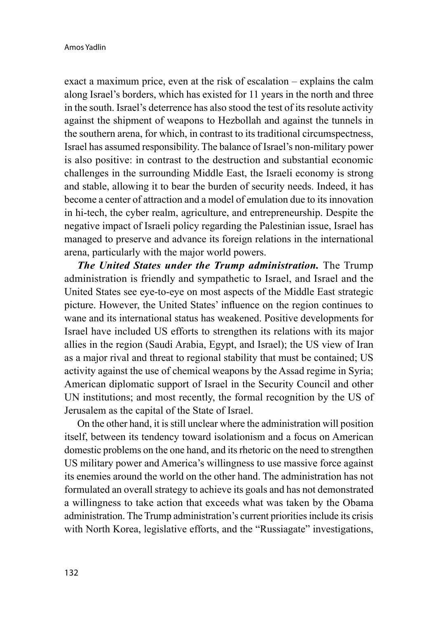exact a maximum price, even at the risk of escalation – explains the calm along Israel's borders, which has existed for 11 years in the north and three in the south. Israel's deterrence has also stood the test of its resolute activity against the shipment of weapons to Hezbollah and against the tunnels in the southern arena, for which, in contrast to its traditional circumspectness, Israel has assumed responsibility. The balance of Israel's non-military power is also positive: in contrast to the destruction and substantial economic challenges in the surrounding Middle East, the Israeli economy is strong and stable, allowing it to bear the burden of security needs. Indeed, it has become a center of attraction and a model of emulation due to its innovation in hi-tech, the cyber realm, agriculture, and entrepreneurship. Despite the negative impact of Israeli policy regarding the Palestinian issue, Israel has managed to preserve and advance its foreign relations in the international arena, particularly with the major world powers.

*The United States under the Trump administration.* The Trump administration is friendly and sympathetic to Israel, and Israel and the United States see eye-to-eye on most aspects of the Middle East strategic picture. However, the United States' influence on the region continues to wane and its international status has weakened. Positive developments for Israel have included US efforts to strengthen its relations with its major allies in the region (Saudi Arabia, Egypt, and Israel); the US view of Iran as a major rival and threat to regional stability that must be contained; US activity against the use of chemical weapons by the Assad regime in Syria; American diplomatic support of Israel in the Security Council and other UN institutions; and most recently, the formal recognition by the US of Jerusalem as the capital of the State of Israel.

On the other hand, it is still unclear where the administration will position itself, between its tendency toward isolationism and a focus on American domestic problems on the one hand, and its rhetoric on the need to strengthen US military power and America's willingness to use massive force against its enemies around the world on the other hand. The administration has not formulated an overall strategy to achieve its goals and has not demonstrated a willingness to take action that exceeds what was taken by the Obama administration. The Trump administration's current priorities include its crisis with North Korea, legislative efforts, and the "Russiagate" investigations,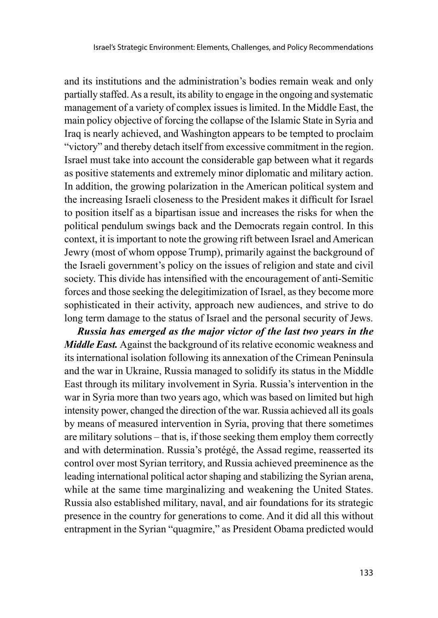and its institutions and the administration's bodies remain weak and only partially staffed. As a result, its ability to engage in the ongoing and systematic management of a variety of complex issues is limited. In the Middle East, the main policy objective of forcing the collapse of the Islamic State in Syria and Iraq is nearly achieved, and Washington appears to be tempted to proclaim "victory" and thereby detach itself from excessive commitment in the region. Israel must take into account the considerable gap between what it regards as positive statements and extremely minor diplomatic and military action. In addition, the growing polarization in the American political system and the increasing Israeli closeness to the President makes it difficult for Israel to position itself as a bipartisan issue and increases the risks for when the political pendulum swings back and the Democrats regain control. In this context, it is important to note the growing rift between Israel and American Jewry (most of whom oppose Trump), primarily against the background of the Israeli government's policy on the issues of religion and state and civil society. This divide has intensified with the encouragement of anti-Semitic forces and those seeking the delegitimization of Israel, as they become more sophisticated in their activity, approach new audiences, and strive to do long term damage to the status of Israel and the personal security of Jews.

*Russia has emerged as the major victor of the last two years in the Middle East.* Against the background of its relative economic weakness and its international isolation following its annexation of the Crimean Peninsula and the war in Ukraine, Russia managed to solidify its status in the Middle East through its military involvement in Syria. Russia's intervention in the war in Syria more than two years ago, which was based on limited but high intensity power, changed the direction of the war. Russia achieved all its goals by means of measured intervention in Syria, proving that there sometimes are military solutions – that is, if those seeking them employ them correctly and with determination. Russia's protégé, the Assad regime, reasserted its control over most Syrian territory, and Russia achieved preeminence as the leading international political actor shaping and stabilizing the Syrian arena, while at the same time marginalizing and weakening the United States. Russia also established military, naval, and air foundations for its strategic presence in the country for generations to come. And it did all this without entrapment in the Syrian "quagmire," as President Obama predicted would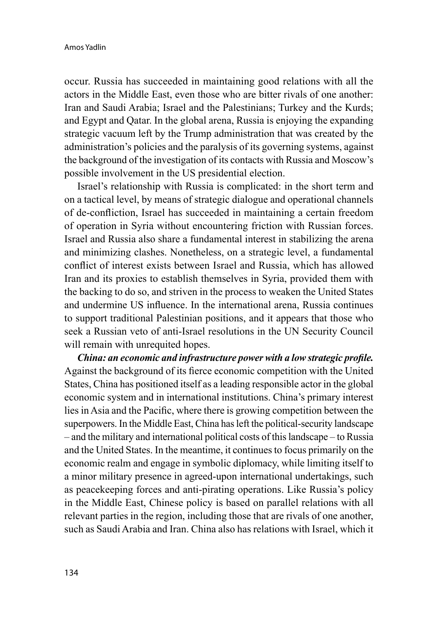occur. Russia has succeeded in maintaining good relations with all the actors in the Middle East, even those who are bitter rivals of one another: Iran and Saudi Arabia; Israel and the Palestinians; Turkey and the Kurds; and Egypt and Qatar. In the global arena, Russia is enjoying the expanding strategic vacuum left by the Trump administration that was created by the administration's policies and the paralysis of its governing systems, against the background of the investigation of its contacts with Russia and Moscow's possible involvement in the US presidential election.

Israel's relationship with Russia is complicated: in the short term and on a tactical level, by means of strategic dialogue and operational channels of de-confliction, Israel has succeeded in maintaining a certain freedom of operation in Syria without encountering friction with Russian forces. Israel and Russia also share a fundamental interest in stabilizing the arena and minimizing clashes. Nonetheless, on a strategic level, a fundamental conflict of interest exists between Israel and Russia, which has allowed Iran and its proxies to establish themselves in Syria, provided them with the backing to do so, and striven in the process to weaken the United States and undermine US influence. In the international arena, Russia continues to support traditional Palestinian positions, and it appears that those who seek a Russian veto of anti-Israel resolutions in the UN Security Council will remain with unrequited hopes.

*China: an economic and infrastructure power with a low strategic profile.* Against the background of its fierce economic competition with the United States, China has positioned itself as a leading responsible actor in the global economic system and in international institutions. China's primary interest lies in Asia and the Pacific, where there is growing competition between the superpowers. In the Middle East, China has left the political-security landscape – and the military and international political costs of this landscape – to Russia and the United States. In the meantime, it continues to focus primarily on the economic realm and engage in symbolic diplomacy, while limiting itself to a minor military presence in agreed-upon international undertakings, such as peacekeeping forces and anti-pirating operations. Like Russia's policy in the Middle East, Chinese policy is based on parallel relations with all relevant parties in the region, including those that are rivals of one another, such as Saudi Arabia and Iran. China also has relations with Israel, which it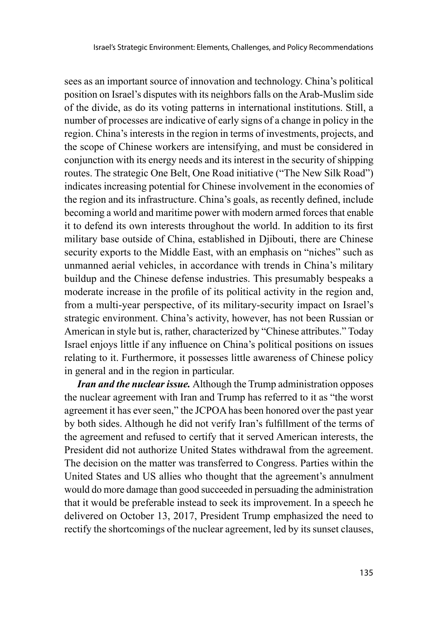sees as an important source of innovation and technology. China's political position on Israel's disputes with its neighbors falls on the Arab-Muslim side of the divide, as do its voting patterns in international institutions. Still, a number of processes are indicative of early signs of a change in policy in the region. China's interests in the region in terms of investments, projects, and the scope of Chinese workers are intensifying, and must be considered in conjunction with its energy needs and its interest in the security of shipping routes. The strategic One Belt, One Road initiative ("The New Silk Road") indicates increasing potential for Chinese involvement in the economies of the region and its infrastructure. China's goals, as recently defined, include becoming a world and maritime power with modern armed forces that enable it to defend its own interests throughout the world. In addition to its first military base outside of China, established in Djibouti, there are Chinese security exports to the Middle East, with an emphasis on "niches" such as unmanned aerial vehicles, in accordance with trends in China's military buildup and the Chinese defense industries. This presumably bespeaks a moderate increase in the profile of its political activity in the region and, from a multi-year perspective, of its military-security impact on Israel's strategic environment. China's activity, however, has not been Russian or American in style but is, rather, characterized by "Chinese attributes." Today Israel enjoys little if any influence on China's political positions on issues relating to it. Furthermore, it possesses little awareness of Chinese policy in general and in the region in particular.

*Iran and the nuclear issue.* Although the Trump administration opposes the nuclear agreement with Iran and Trump has referred to it as "the worst agreement it has ever seen," the JCPOA has been honored over the past year by both sides. Although he did not verify Iran's fulfillment of the terms of the agreement and refused to certify that it served American interests, the President did not authorize United States withdrawal from the agreement. The decision on the matter was transferred to Congress. Parties within the United States and US allies who thought that the agreement's annulment would do more damage than good succeeded in persuading the administration that it would be preferable instead to seek its improvement. In a speech he delivered on October 13, 2017, President Trump emphasized the need to rectify the shortcomings of the nuclear agreement, led by its sunset clauses,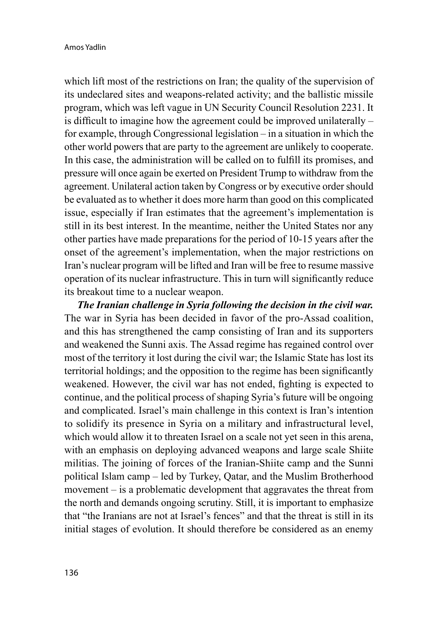which lift most of the restrictions on Iran; the quality of the supervision of its undeclared sites and weapons-related activity; and the ballistic missile program, which was left vague in UN Security Council Resolution 2231. It is difficult to imagine how the agreement could be improved unilaterally – for example, through Congressional legislation – in a situation in which the other world powers that are party to the agreement are unlikely to cooperate. In this case, the administration will be called on to fulfill its promises, and pressure will once again be exerted on President Trump to withdraw from the agreement. Unilateral action taken by Congress or by executive order should be evaluated as to whether it does more harm than good on this complicated issue, especially if Iran estimates that the agreement's implementation is still in its best interest. In the meantime, neither the United States nor any other parties have made preparations for the period of 10-15 years after the onset of the agreement's implementation, when the major restrictions on Iran's nuclear program will be lifted and Iran will be free to resume massive operation of its nuclear infrastructure. This in turn will significantly reduce its breakout time to a nuclear weapon.

*The Iranian challenge in Syria following the decision in the civil war.* The war in Syria has been decided in favor of the pro-Assad coalition, and this has strengthened the camp consisting of Iran and its supporters and weakened the Sunni axis. The Assad regime has regained control over most of the territory it lost during the civil war; the Islamic State has lost its territorial holdings; and the opposition to the regime has been significantly weakened. However, the civil war has not ended, fighting is expected to continue, and the political process of shaping Syria's future will be ongoing and complicated. Israel's main challenge in this context is Iran's intention to solidify its presence in Syria on a military and infrastructural level, which would allow it to threaten Israel on a scale not yet seen in this arena, with an emphasis on deploying advanced weapons and large scale Shiite militias. The joining of forces of the Iranian-Shiite camp and the Sunni political Islam camp – led by Turkey, Qatar, and the Muslim Brotherhood movement – is a problematic development that aggravates the threat from the north and demands ongoing scrutiny. Still, it is important to emphasize that "the Iranians are not at Israel's fences" and that the threat is still in its initial stages of evolution. It should therefore be considered as an enemy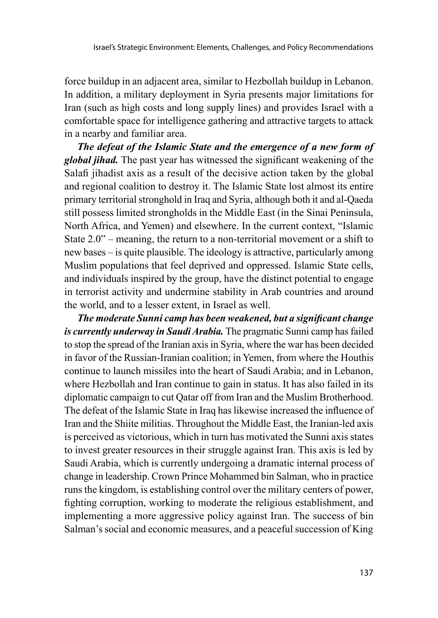force buildup in an adjacent area, similar to Hezbollah buildup in Lebanon. In addition, a military deployment in Syria presents major limitations for Iran (such as high costs and long supply lines) and provides Israel with a comfortable space for intelligence gathering and attractive targets to attack in a nearby and familiar area.

*The defeat of the Islamic State and the emergence of a new form of global jihad.* The past year has witnessed the significant weakening of the Salafi jihadist axis as a result of the decisive action taken by the global and regional coalition to destroy it. The Islamic State lost almost its entire primary territorial stronghold in Iraq and Syria, although both it and al-Qaeda still possess limited strongholds in the Middle East (in the Sinai Peninsula, North Africa, and Yemen) and elsewhere. In the current context, "Islamic State 2.0" – meaning, the return to a non-territorial movement or a shift to new bases – is quite plausible. The ideology is attractive, particularly among Muslim populations that feel deprived and oppressed. Islamic State cells, and individuals inspired by the group, have the distinct potential to engage in terrorist activity and undermine stability in Arab countries and around the world, and to a lesser extent, in Israel as well.

*The moderate Sunni camp has been weakened, but a significant change is currently underway in Saudi Arabia.* The pragmatic Sunni camp has failed to stop the spread of the Iranian axis in Syria, where the war has been decided in favor of the Russian-Iranian coalition; in Yemen, from where the Houthis continue to launch missiles into the heart of Saudi Arabia; and in Lebanon, where Hezbollah and Iran continue to gain in status. It has also failed in its diplomatic campaign to cut Qatar off from Iran and the Muslim Brotherhood. The defeat of the Islamic State in Iraq has likewise increased the influence of Iran and the Shiite militias. Throughout the Middle East, the Iranian-led axis is perceived as victorious, which in turn has motivated the Sunni axis states to invest greater resources in their struggle against Iran. This axis is led by Saudi Arabia, which is currently undergoing a dramatic internal process of change in leadership. Crown Prince Mohammed bin Salman, who in practice runs the kingdom, is establishing control over the military centers of power, fighting corruption, working to moderate the religious establishment, and implementing a more aggressive policy against Iran. The success of bin Salman's social and economic measures, and a peaceful succession of King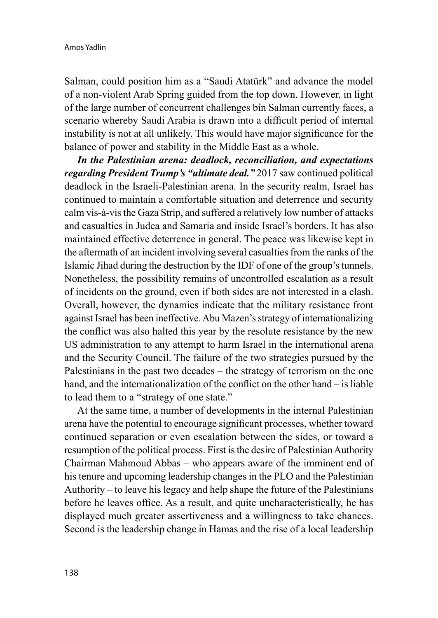Salman, could position him as a "Saudi Atatürk" and advance the model of a non-violent Arab Spring guided from the top down. However, in light of the large number of concurrent challenges bin Salman currently faces, a scenario whereby Saudi Arabia is drawn into a difficult period of internal instability is not at all unlikely. This would have major significance for the balance of power and stability in the Middle East as a whole.

*In the Palestinian arena: deadlock, reconciliation, and expectations regarding President Trump's "ultimate deal."* 2017 saw continued political deadlock in the Israeli-Palestinian arena. In the security realm, Israel has continued to maintain a comfortable situation and deterrence and security calm vis-à-vis the Gaza Strip, and suffered a relatively low number of attacks and casualties in Judea and Samaria and inside Israel's borders. It has also maintained effective deterrence in general. The peace was likewise kept in the aftermath of an incident involving several casualties from the ranks of the Islamic Jihad during the destruction by the IDF of one of the group's tunnels. Nonetheless, the possibility remains of uncontrolled escalation as a result of incidents on the ground, even if both sides are not interested in a clash. Overall, however, the dynamics indicate that the military resistance front against Israel has been ineffective. Abu Mazen's strategy of internationalizing the conflict was also halted this year by the resolute resistance by the new US administration to any attempt to harm Israel in the international arena and the Security Council. The failure of the two strategies pursued by the Palestinians in the past two decades – the strategy of terrorism on the one hand, and the internationalization of the conflict on the other hand – is liable to lead them to a "strategy of one state."

At the same time, a number of developments in the internal Palestinian arena have the potential to encourage significant processes, whether toward continued separation or even escalation between the sides, or toward a resumption of the political process. First is the desire of Palestinian Authority Chairman Mahmoud Abbas – who appears aware of the imminent end of his tenure and upcoming leadership changes in the PLO and the Palestinian Authority – to leave his legacy and help shape the future of the Palestinians before he leaves office. As a result, and quite uncharacteristically, he has displayed much greater assertiveness and a willingness to take chances. Second is the leadership change in Hamas and the rise of a local leadership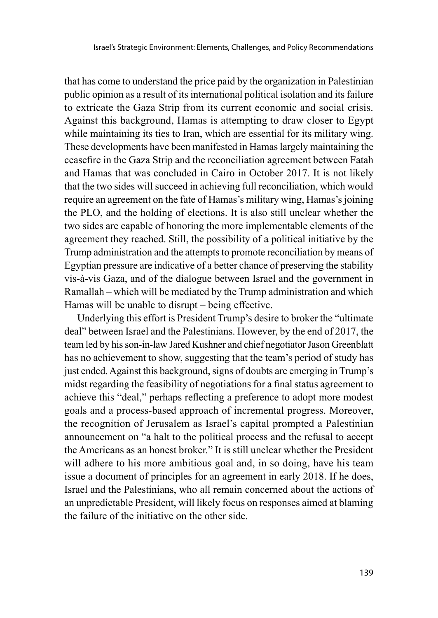that has come to understand the price paid by the organization in Palestinian public opinion as a result of its international political isolation and its failure to extricate the Gaza Strip from its current economic and social crisis. Against this background, Hamas is attempting to draw closer to Egypt while maintaining its ties to Iran, which are essential for its military wing. These developments have been manifested in Hamas largely maintaining the ceasefire in the Gaza Strip and the reconciliation agreement between Fatah and Hamas that was concluded in Cairo in October 2017. It is not likely that the two sides will succeed in achieving full reconciliation, which would require an agreement on the fate of Hamas's military wing, Hamas's joining the PLO, and the holding of elections. It is also still unclear whether the two sides are capable of honoring the more implementable elements of the agreement they reached. Still, the possibility of a political initiative by the Trump administration and the attempts to promote reconciliation by means of Egyptian pressure are indicative of a better chance of preserving the stability vis-à-vis Gaza, and of the dialogue between Israel and the government in Ramallah – which will be mediated by the Trump administration and which Hamas will be unable to disrupt – being effective.

Underlying this effort is President Trump's desire to broker the "ultimate deal" between Israel and the Palestinians. However, by the end of 2017, the team led by his son-in-law Jared Kushner and chief negotiator Jason Greenblatt has no achievement to show, suggesting that the team's period of study has just ended. Against this background, signs of doubts are emerging in Trump's midst regarding the feasibility of negotiations for a final status agreement to achieve this "deal," perhaps reflecting a preference to adopt more modest goals and a process-based approach of incremental progress. Moreover, the recognition of Jerusalem as Israel's capital prompted a Palestinian announcement on "a halt to the political process and the refusal to accept the Americans as an honest broker." It is still unclear whether the President will adhere to his more ambitious goal and, in so doing, have his team issue a document of principles for an agreement in early 2018. If he does, Israel and the Palestinians, who all remain concerned about the actions of an unpredictable President, will likely focus on responses aimed at blaming the failure of the initiative on the other side.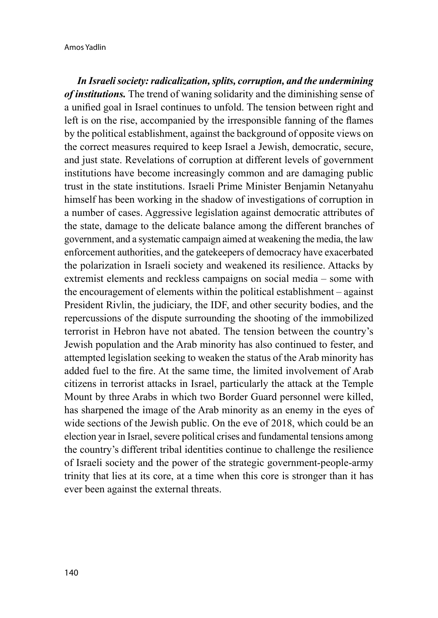*In Israeli society: radicalization, splits, corruption, and the undermining of institutions.* The trend of waning solidarity and the diminishing sense of a unified goal in Israel continues to unfold. The tension between right and left is on the rise, accompanied by the irresponsible fanning of the flames by the political establishment, against the background of opposite views on the correct measures required to keep Israel a Jewish, democratic, secure, and just state. Revelations of corruption at different levels of government institutions have become increasingly common and are damaging public trust in the state institutions. Israeli Prime Minister Benjamin Netanyahu himself has been working in the shadow of investigations of corruption in a number of cases. Aggressive legislation against democratic attributes of the state, damage to the delicate balance among the different branches of government, and a systematic campaign aimed at weakening the media, the law enforcement authorities, and the gatekeepers of democracy have exacerbated the polarization in Israeli society and weakened its resilience. Attacks by extremist elements and reckless campaigns on social media – some with the encouragement of elements within the political establishment – against President Rivlin, the judiciary, the IDF, and other security bodies, and the repercussions of the dispute surrounding the shooting of the immobilized terrorist in Hebron have not abated. The tension between the country's Jewish population and the Arab minority has also continued to fester, and attempted legislation seeking to weaken the status of the Arab minority has added fuel to the fire. At the same time, the limited involvement of Arab citizens in terrorist attacks in Israel, particularly the attack at the Temple Mount by three Arabs in which two Border Guard personnel were killed, has sharpened the image of the Arab minority as an enemy in the eyes of wide sections of the Jewish public. On the eve of 2018, which could be an election year in Israel, severe political crises and fundamental tensions among the country's different tribal identities continue to challenge the resilience of Israeli society and the power of the strategic government-people-army trinity that lies at its core, at a time when this core is stronger than it has ever been against the external threats.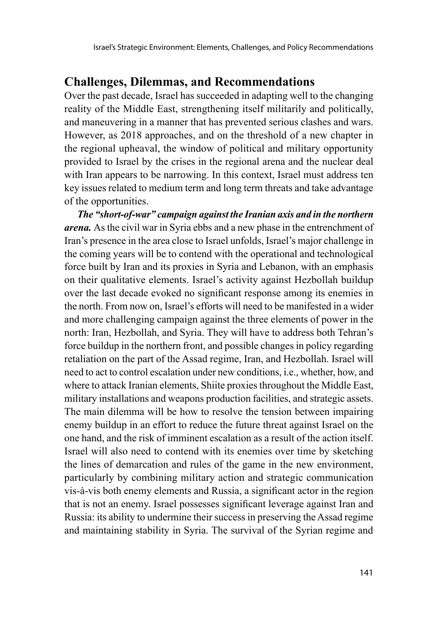## **Challenges, Dilemmas, and Recommendations**

Over the past decade, Israel has succeeded in adapting well to the changing reality of the Middle East, strengthening itself militarily and politically, and maneuvering in a manner that has prevented serious clashes and wars. However, as 2018 approaches, and on the threshold of a new chapter in the regional upheaval, the window of political and military opportunity provided to Israel by the crises in the regional arena and the nuclear deal with Iran appears to be narrowing. In this context, Israel must address ten key issues related to medium term and long term threats and take advantage of the opportunities.

*The "short-of-war" campaign against the Iranian axis and in the northern arena.* As the civil war in Syria ebbs and a new phase in the entrenchment of Iran's presence in the area close to Israel unfolds, Israel's major challenge in the coming years will be to contend with the operational and technological force built by Iran and its proxies in Syria and Lebanon, with an emphasis on their qualitative elements. Israel's activity against Hezbollah buildup over the last decade evoked no significant response among its enemies in the north. From now on, Israel's efforts will need to be manifested in a wider and more challenging campaign against the three elements of power in the north: Iran, Hezbollah, and Syria. They will have to address both Tehran's force buildup in the northern front, and possible changes in policy regarding retaliation on the part of the Assad regime, Iran, and Hezbollah. Israel will need to act to control escalation under new conditions, i.e., whether, how, and where to attack Iranian elements, Shiite proxies throughout the Middle East, military installations and weapons production facilities, and strategic assets. The main dilemma will be how to resolve the tension between impairing enemy buildup in an effort to reduce the future threat against Israel on the one hand, and the risk of imminent escalation as a result of the action itself. Israel will also need to contend with its enemies over time by sketching the lines of demarcation and rules of the game in the new environment, particularly by combining military action and strategic communication vis-à-vis both enemy elements and Russia, a significant actor in the region that is not an enemy. Israel possesses significant leverage against Iran and Russia: its ability to undermine their success in preserving the Assad regime and maintaining stability in Syria. The survival of the Syrian regime and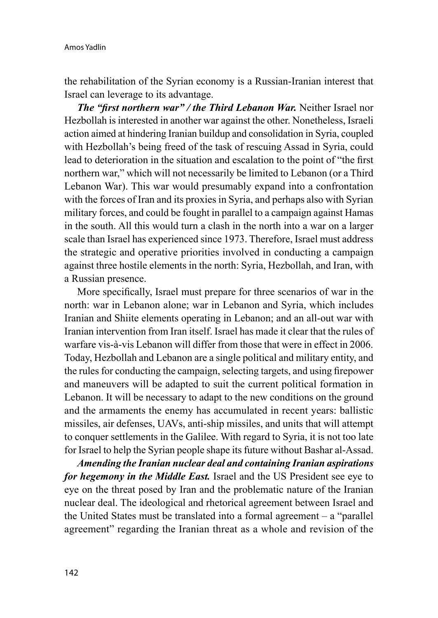the rehabilitation of the Syrian economy is a Russian-Iranian interest that Israel can leverage to its advantage.

*The "first northern war" / the Third Lebanon War.* Neither Israel nor Hezbollah is interested in another war against the other. Nonetheless, Israeli action aimed at hindering Iranian buildup and consolidation in Syria, coupled with Hezbollah's being freed of the task of rescuing Assad in Syria, could lead to deterioration in the situation and escalation to the point of "the first northern war," which will not necessarily be limited to Lebanon (or a Third Lebanon War). This war would presumably expand into a confrontation with the forces of Iran and its proxies in Syria, and perhaps also with Syrian military forces, and could be fought in parallel to a campaign against Hamas in the south. All this would turn a clash in the north into a war on a larger scale than Israel has experienced since 1973. Therefore, Israel must address the strategic and operative priorities involved in conducting a campaign against three hostile elements in the north: Syria, Hezbollah, and Iran, with a Russian presence.

More specifically, Israel must prepare for three scenarios of war in the north: war in Lebanon alone; war in Lebanon and Syria, which includes Iranian and Shiite elements operating in Lebanon; and an all-out war with Iranian intervention from Iran itself. Israel has made it clear that the rules of warfare vis-à-vis Lebanon will differ from those that were in effect in 2006. Today, Hezbollah and Lebanon are a single political and military entity, and the rules for conducting the campaign, selecting targets, and using firepower and maneuvers will be adapted to suit the current political formation in Lebanon. It will be necessary to adapt to the new conditions on the ground and the armaments the enemy has accumulated in recent years: ballistic missiles, air defenses, UAVs, anti-ship missiles, and units that will attempt to conquer settlements in the Galilee. With regard to Syria, it is not too late for Israel to help the Syrian people shape its future without Bashar al-Assad.

*Amending the Iranian nuclear deal and containing Iranian aspirations for hegemony in the Middle East.* Israel and the US President see eye to eye on the threat posed by Iran and the problematic nature of the Iranian nuclear deal. The ideological and rhetorical agreement between Israel and the United States must be translated into a formal agreement – a "parallel agreement" regarding the Iranian threat as a whole and revision of the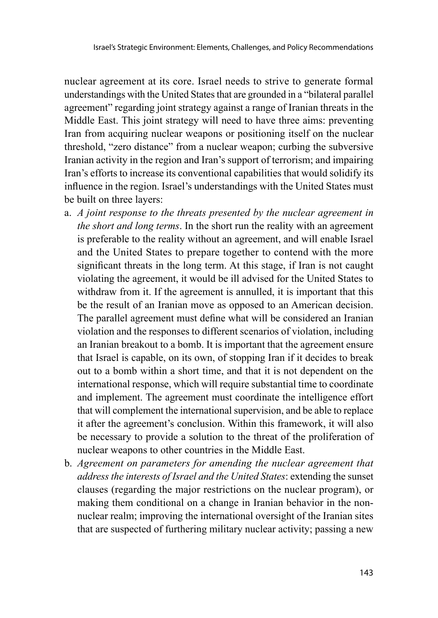nuclear agreement at its core. Israel needs to strive to generate formal understandings with the United States that are grounded in a "bilateral parallel agreement" regarding joint strategy against a range of Iranian threats in the Middle East. This joint strategy will need to have three aims: preventing Iran from acquiring nuclear weapons or positioning itself on the nuclear threshold, "zero distance" from a nuclear weapon; curbing the subversive Iranian activity in the region and Iran's support of terrorism; and impairing Iran's efforts to increase its conventional capabilities that would solidify its influence in the region. Israel's understandings with the United States must be built on three layers:

- a. *A joint response to the threats presented by the nuclear agreement in the short and long terms*. In the short run the reality with an agreement is preferable to the reality without an agreement, and will enable Israel and the United States to prepare together to contend with the more significant threats in the long term. At this stage, if Iran is not caught violating the agreement, it would be ill advised for the United States to withdraw from it. If the agreement is annulled, it is important that this be the result of an Iranian move as opposed to an American decision. The parallel agreement must define what will be considered an Iranian violation and the responses to different scenarios of violation, including an Iranian breakout to a bomb. It is important that the agreement ensure that Israel is capable, on its own, of stopping Iran if it decides to break out to a bomb within a short time, and that it is not dependent on the international response, which will require substantial time to coordinate and implement. The agreement must coordinate the intelligence effort that will complement the international supervision, and be able to replace it after the agreement's conclusion. Within this framework, it will also be necessary to provide a solution to the threat of the proliferation of nuclear weapons to other countries in the Middle East.
- b. *Agreement on parameters for amending the nuclear agreement that address the interests of Israel and the United States*: extending the sunset clauses (regarding the major restrictions on the nuclear program), or making them conditional on a change in Iranian behavior in the nonnuclear realm; improving the international oversight of the Iranian sites that are suspected of furthering military nuclear activity; passing a new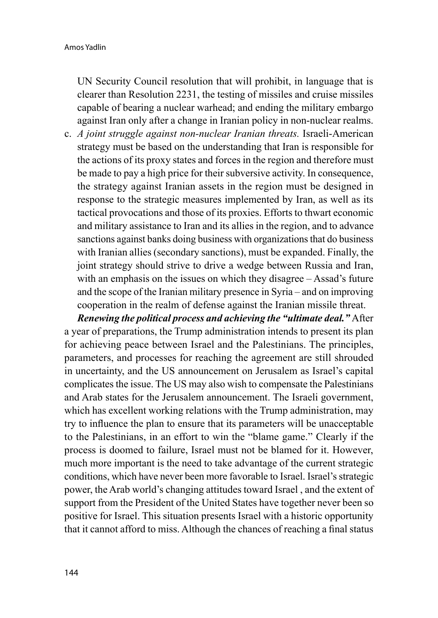UN Security Council resolution that will prohibit, in language that is clearer than Resolution 2231, the testing of missiles and cruise missiles capable of bearing a nuclear warhead; and ending the military embargo against Iran only after a change in Iranian policy in non-nuclear realms.

c. *A joint struggle against non-nuclear Iranian threats.* Israeli-American strategy must be based on the understanding that Iran is responsible for the actions of its proxy states and forces in the region and therefore must be made to pay a high price for their subversive activity. In consequence, the strategy against Iranian assets in the region must be designed in response to the strategic measures implemented by Iran, as well as its tactical provocations and those of its proxies. Efforts to thwart economic and military assistance to Iran and its allies in the region, and to advance sanctions against banks doing business with organizations that do business with Iranian allies (secondary sanctions), must be expanded. Finally, the joint strategy should strive to drive a wedge between Russia and Iran, with an emphasis on the issues on which they disagree – Assad's future and the scope of the Iranian military presence in Syria – and on improving cooperation in the realm of defense against the Iranian missile threat.

*Renewing the political process and achieving the "ultimate deal."* After a year of preparations, the Trump administration intends to present its plan for achieving peace between Israel and the Palestinians. The principles, parameters, and processes for reaching the agreement are still shrouded in uncertainty, and the US announcement on Jerusalem as Israel's capital complicates the issue. The US may also wish to compensate the Palestinians and Arab states for the Jerusalem announcement. The Israeli government, which has excellent working relations with the Trump administration, may try to influence the plan to ensure that its parameters will be unacceptable to the Palestinians, in an effort to win the "blame game." Clearly if the process is doomed to failure, Israel must not be blamed for it. However, much more important is the need to take advantage of the current strategic conditions, which have never been more favorable to Israel. Israel's strategic power, the Arab world's changing attitudes toward Israel , and the extent of support from the President of the United States have together never been so positive for Israel. This situation presents Israel with a historic opportunity that it cannot afford to miss. Although the chances of reaching a final status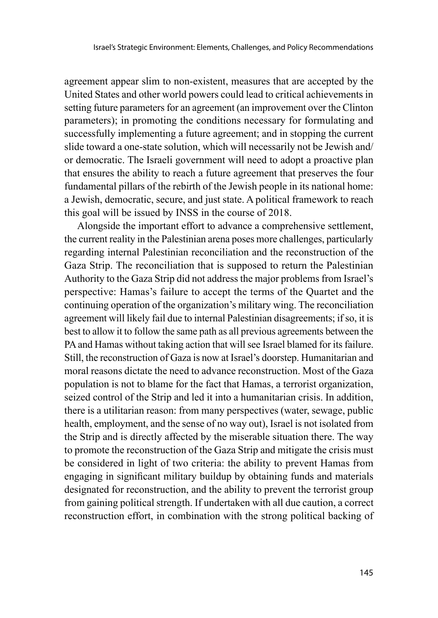agreement appear slim to non-existent, measures that are accepted by the United States and other world powers could lead to critical achievements in setting future parameters for an agreement (an improvement over the Clinton parameters); in promoting the conditions necessary for formulating and successfully implementing a future agreement; and in stopping the current slide toward a one-state solution, which will necessarily not be Jewish and/ or democratic. The Israeli government will need to adopt a proactive plan that ensures the ability to reach a future agreement that preserves the four fundamental pillars of the rebirth of the Jewish people in its national home: a Jewish, democratic, secure, and just state. A political framework to reach this goal will be issued by INSS in the course of 2018.

Alongside the important effort to advance a comprehensive settlement, the current reality in the Palestinian arena poses more challenges, particularly regarding internal Palestinian reconciliation and the reconstruction of the Gaza Strip. The reconciliation that is supposed to return the Palestinian Authority to the Gaza Strip did not address the major problems from Israel's perspective: Hamas's failure to accept the terms of the Quartet and the continuing operation of the organization's military wing. The reconciliation agreement will likely fail due to internal Palestinian disagreements; if so, it is best to allow it to follow the same path as all previous agreements between the PA and Hamas without taking action that will see Israel blamed for its failure. Still, the reconstruction of Gaza is now at Israel's doorstep. Humanitarian and moral reasons dictate the need to advance reconstruction. Most of the Gaza population is not to blame for the fact that Hamas, a terrorist organization, seized control of the Strip and led it into a humanitarian crisis. In addition, there is a utilitarian reason: from many perspectives (water, sewage, public health, employment, and the sense of no way out), Israel is not isolated from the Strip and is directly affected by the miserable situation there. The way to promote the reconstruction of the Gaza Strip and mitigate the crisis must be considered in light of two criteria: the ability to prevent Hamas from engaging in significant military buildup by obtaining funds and materials designated for reconstruction, and the ability to prevent the terrorist group from gaining political strength. If undertaken with all due caution, a correct reconstruction effort, in combination with the strong political backing of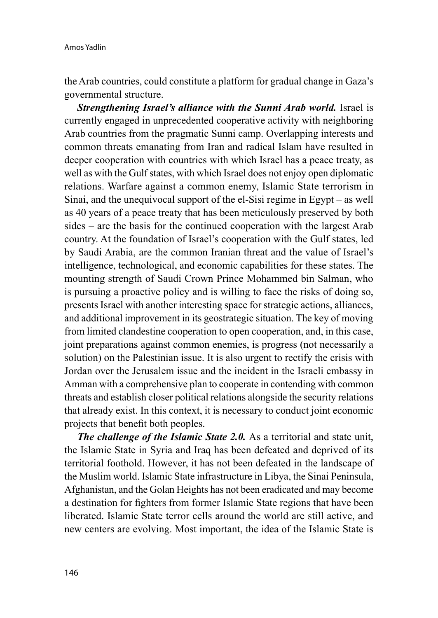the Arab countries, could constitute a platform for gradual change in Gaza's governmental structure.

**Strengthening Israel's alliance with the Sunni Arab world.** Israel is currently engaged in unprecedented cooperative activity with neighboring Arab countries from the pragmatic Sunni camp. Overlapping interests and common threats emanating from Iran and radical Islam have resulted in deeper cooperation with countries with which Israel has a peace treaty, as well as with the Gulf states, with which Israel does not enjoy open diplomatic relations. Warfare against a common enemy, Islamic State terrorism in Sinai, and the unequivocal support of the el-Sisi regime in Egypt – as well as 40 years of a peace treaty that has been meticulously preserved by both sides – are the basis for the continued cooperation with the largest Arab country. At the foundation of Israel's cooperation with the Gulf states, led by Saudi Arabia, are the common Iranian threat and the value of Israel's intelligence, technological, and economic capabilities for these states. The mounting strength of Saudi Crown Prince Mohammed bin Salman, who is pursuing a proactive policy and is willing to face the risks of doing so, presents Israel with another interesting space for strategic actions, alliances, and additional improvement in its geostrategic situation. The key of moving from limited clandestine cooperation to open cooperation, and, in this case, joint preparations against common enemies, is progress (not necessarily a solution) on the Palestinian issue. It is also urgent to rectify the crisis with Jordan over the Jerusalem issue and the incident in the Israeli embassy in Amman with a comprehensive plan to cooperate in contending with common threats and establish closer political relations alongside the security relations that already exist. In this context, it is necessary to conduct joint economic projects that benefit both peoples.

*The challenge of the Islamic State 2.0.* As a territorial and state unit, the Islamic State in Syria and Iraq has been defeated and deprived of its territorial foothold. However, it has not been defeated in the landscape of the Muslim world. Islamic State infrastructure in Libya, the Sinai Peninsula, Afghanistan, and the Golan Heights has not been eradicated and may become a destination for fighters from former Islamic State regions that have been liberated. Islamic State terror cells around the world are still active, and new centers are evolving. Most important, the idea of the Islamic State is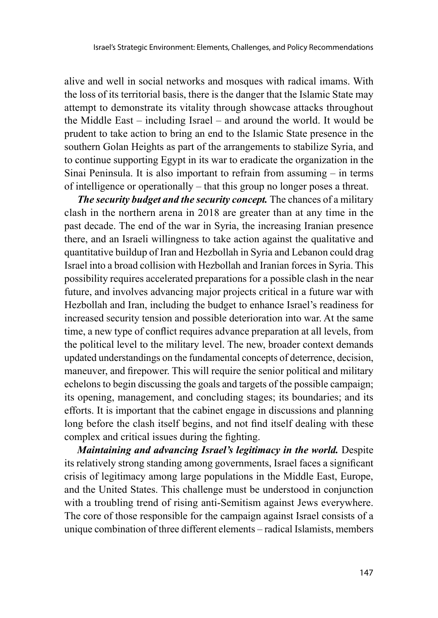alive and well in social networks and mosques with radical imams. With the loss of its territorial basis, there is the danger that the Islamic State may attempt to demonstrate its vitality through showcase attacks throughout the Middle East – including Israel – and around the world. It would be prudent to take action to bring an end to the Islamic State presence in the southern Golan Heights as part of the arrangements to stabilize Syria, and to continue supporting Egypt in its war to eradicate the organization in the Sinai Peninsula. It is also important to refrain from assuming – in terms of intelligence or operationally – that this group no longer poses a threat.

*The security budget and the security concept.* The chances of a military clash in the northern arena in 2018 are greater than at any time in the past decade. The end of the war in Syria, the increasing Iranian presence there, and an Israeli willingness to take action against the qualitative and quantitative buildup of Iran and Hezbollah in Syria and Lebanon could drag Israel into a broad collision with Hezbollah and Iranian forces in Syria. This possibility requires accelerated preparations for a possible clash in the near future, and involves advancing major projects critical in a future war with Hezbollah and Iran, including the budget to enhance Israel's readiness for increased security tension and possible deterioration into war. At the same time, a new type of conflict requires advance preparation at all levels, from the political level to the military level. The new, broader context demands updated understandings on the fundamental concepts of deterrence, decision, maneuver, and firepower. This will require the senior political and military echelons to begin discussing the goals and targets of the possible campaign; its opening, management, and concluding stages; its boundaries; and its efforts. It is important that the cabinet engage in discussions and planning long before the clash itself begins, and not find itself dealing with these complex and critical issues during the fighting.

*Maintaining and advancing Israel's legitimacy in the world.* Despite its relatively strong standing among governments, Israel faces a significant crisis of legitimacy among large populations in the Middle East, Europe, and the United States. This challenge must be understood in conjunction with a troubling trend of rising anti-Semitism against Jews everywhere. The core of those responsible for the campaign against Israel consists of a unique combination of three different elements – radical Islamists, members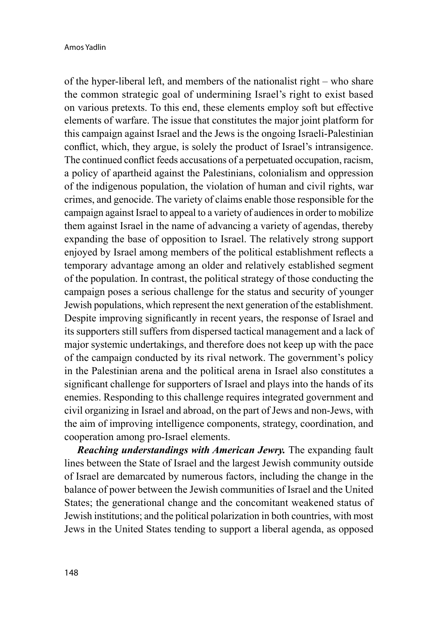of the hyper-liberal left, and members of the nationalist right – who share the common strategic goal of undermining Israel's right to exist based on various pretexts. To this end, these elements employ soft but effective elements of warfare. The issue that constitutes the major joint platform for this campaign against Israel and the Jews is the ongoing Israeli-Palestinian conflict, which, they argue, is solely the product of Israel's intransigence. The continued conflict feeds accusations of a perpetuated occupation, racism, a policy of apartheid against the Palestinians, colonialism and oppression of the indigenous population, the violation of human and civil rights, war crimes, and genocide. The variety of claims enable those responsible for the campaign against Israel to appeal to a variety of audiences in order to mobilize them against Israel in the name of advancing a variety of agendas, thereby expanding the base of opposition to Israel. The relatively strong support enjoyed by Israel among members of the political establishment reflects a temporary advantage among an older and relatively established segment of the population. In contrast, the political strategy of those conducting the campaign poses a serious challenge for the status and security of younger Jewish populations, which represent the next generation of the establishment. Despite improving significantly in recent years, the response of Israel and its supporters still suffers from dispersed tactical management and a lack of major systemic undertakings, and therefore does not keep up with the pace of the campaign conducted by its rival network. The government's policy in the Palestinian arena and the political arena in Israel also constitutes a significant challenge for supporters of Israel and plays into the hands of its enemies. Responding to this challenge requires integrated government and civil organizing in Israel and abroad, on the part of Jews and non-Jews, with the aim of improving intelligence components, strategy, coordination, and cooperation among pro-Israel elements.

*Reaching understandings with American Jewry.* The expanding fault lines between the State of Israel and the largest Jewish community outside of Israel are demarcated by numerous factors, including the change in the balance of power between the Jewish communities of Israel and the United States; the generational change and the concomitant weakened status of Jewish institutions; and the political polarization in both countries, with most Jews in the United States tending to support a liberal agenda, as opposed